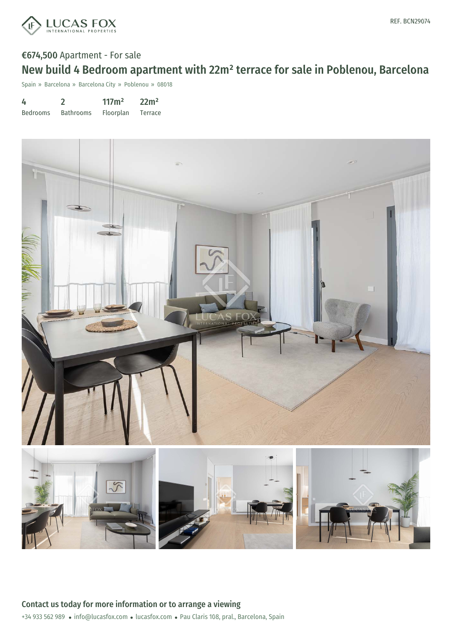

# €674,500 Apartment - For sale

## New build 4 Bedroom apartment with 22m² terrace for sale in Poblenou, Barcelona

Spain » Barcelona » Barcelona City » Poblenou » 08018

| 4               |                  | 117m <sup>2</sup> | 22m <sup>2</sup> |
|-----------------|------------------|-------------------|------------------|
| <b>Bedrooms</b> | <b>Bathrooms</b> | Floorplan         | Terrace          |

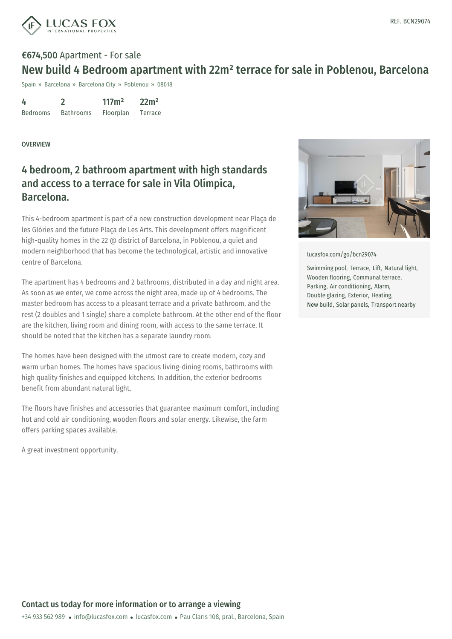

## €674,500 Apartment - For sale New build 4 Bedroom apartment with 22m² terrace for sale in Poblenou, Barcelona

Spain » Barcelona » Barcelona City » Poblenou » 08018

| 4               |                  | 117m <sup>2</sup> | 22m <sup>2</sup> |
|-----------------|------------------|-------------------|------------------|
| <b>Bedrooms</b> | <b>Bathrooms</b> | Floorplan         | Terrace          |

#### OVERVIEW

### 4 bedroom, 2 bathroom apartment with high standards and access to a terrace for sale in Vila Olímpica, Barcelona.

This 4-bedroom apartment is part of a new construction development near Plaça de les Glòries and the future Plaça de Les Arts. This development offers magnificent high-quality homes in the 22 @ district of Barcelona, in Poblenou, a quiet and modern neighborhood that has become the technological, artistic and innovative centre of Barcelona.

The apartment has 4 bedrooms and 2 bathrooms, distributed in a day and night area. As soon as we enter, we come across the night area, made up of 4 bedrooms. The master bedroom has access to a pleasant terrace and a private bathroom, and the rest (2 doubles and 1 single) share a complete bathroom. At the other end of the floor are the kitchen, living room and dining room, with access to the same terrace. It should be noted that the kitchen has a separate laundry room.

The homes have been designed with the utmost care to create modern, cozy and warm urban homes. The homes have spacious living-dining rooms, bathrooms with high quality finishes and equipped kitchens. In addition, the exterior bedrooms benefit from abundant natural light.

The floors have finishes and accessories that guarantee maximum comfort, including hot and cold air conditioning, wooden floors and solar energy. Likewise, the farm offers parking spaces available.

A great investment opportunity.



[lucasfox.com/go/bcn29074](https://www.lucasfox.com/go/bcn29074)

Swimming pool, Terrace, Lift, Natural light, Wooden flooring, Communal terrace, Parking, Air conditioning, Alarm, Double glazing, Exterior, Heating, New build, Solar panels, Transport nearby